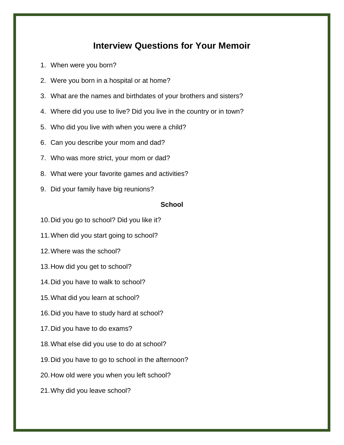# **Interview Questions for Your Memoir**

- 1. When were you born?
- 2. Were you born in a hospital or at home?
- 3. What are the names and birthdates of your brothers and sisters?
- 4. Where did you use to live? Did you live in the country or in town?
- 5. Who did you live with when you were a child?
- 6. Can you describe your mom and dad?
- 7. Who was more strict, your mom or dad?
- 8. What were your favorite games and activities?
- 9. Did your family have big reunions?

## **School**

- 10.Did you go to school? Did you like it?
- 11.When did you start going to school?
- 12.Where was the school?
- 13.How did you get to school?
- 14.Did you have to walk to school?
- 15.What did you learn at school?
- 16.Did you have to study hard at school?
- 17.Did you have to do exams?
- 18.What else did you use to do at school?
- 19.Did you have to go to school in the afternoon?
- 20.How old were you when you left school?
- 21.Why did you leave school?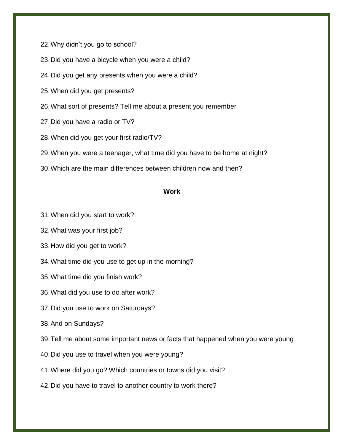22.Why didn't you go to school?

23.Did you have a bicycle when you were a child?

24.Did you get any presents when you were a child?

25.When did you get presents?

26.What sort of presents? Tell me about a present you remember

27.Did you have a radio or TV?

28.When did you get your first radio/TV?

29.When you were a teenager, what time did you have to be home at night?

30.Which are the main differences between children now and then?

#### **Work**

31.When did you start to work?

32.What was your first job?

33.How did you get to work?

34.What time did you use to get up in the morning?

35.What time did you finish work?

36.What did you use to do after work?

37.Did you use to work on Saturdays?

38.And on Sundays?

39.Tell me about some important news or facts that happened when you were young

40.Did you use to travel when you were young?

41.Where did you go? Which countries or towns did you visit?

42.Did you have to travel to another country to work there?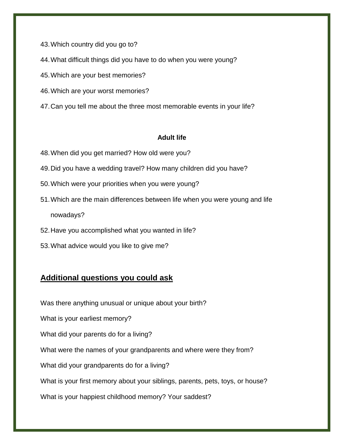43.Which country did you go to?

44.What difficult things did you have to do when you were young?

45.Which are your best memories?

- 46.Which are your worst memories?
- 47.Can you tell me about the three most memorable events in your life?

## **Adult life**

- 48.When did you get married? How old were you?
- 49.Did you have a wedding travel? How many children did you have?
- 50.Which were your priorities when you were young?
- 51.Which are the main differences between life when you were young and life nowadays?
- 52.Have you accomplished what you wanted in life?
- 53.What advice would you like to give me?

# **Additional questions you could ask**

Was there anything unusual or unique about your birth?

What is your earliest memory?

What did your parents do for a living?

What were the names of your grandparents and where were they from?

What did your grandparents do for a living?

What is your first memory about your siblings, parents, pets, toys, or house?

What is your happiest childhood memory? Your saddest?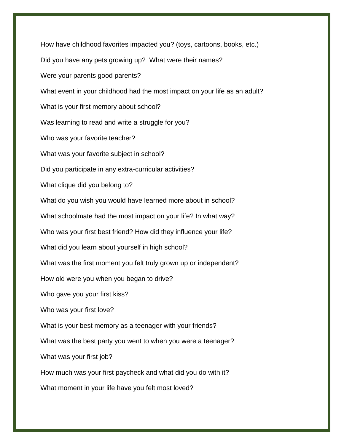How have childhood favorites impacted you? (toys, cartoons, books, etc.) Did you have any pets growing up? What were their names? Were your parents good parents? What event in your childhood had the most impact on your life as an adult? What is your first memory about school? Was learning to read and write a struggle for you? Who was your favorite teacher? What was your favorite subject in school? Did you participate in any extra-curricular activities? What clique did you belong to? What do you wish you would have learned more about in school? What schoolmate had the most impact on your life? In what way? Who was your first best friend? How did they influence your life? What did you learn about yourself in high school? What was the first moment you felt truly grown up or independent? How old were you when you began to drive? Who gave you your first kiss? Who was your first love? What is your best memory as a teenager with your friends? What was the best party you went to when you were a teenager? What was your first job? How much was your first paycheck and what did you do with it? What moment in your life have you felt most loved?